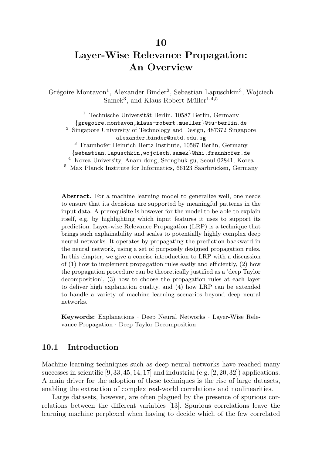### 10

# Layer-Wise Relevance Propagation: An Overview

Grégoire Montavon<sup>1</sup>, Alexander Binder<sup>2</sup>, Sebastian Lapuschkin<sup>3</sup>, Wojciech  $Samek<sup>3</sup>$ , and Klaus-Robert Müller<sup>1,4,5</sup>

<sup>1</sup> Technische Universität Berlin, 10587 Berlin, Germany {gregoire.montavon,klaus-robert.mueller}@tu-berlin.de <sup>2</sup> Singapore University of Technology and Design, 487372 Singapore alexander binder@sutd.edu.sg <sup>3</sup> Fraunhofer Heinrich Hertz Institute, 10587 Berlin, Germany {sebastian.lapuschkin,wojciech.samek}@hhi.fraunhofer.de <sup>4</sup> Korea University, Anam-dong, Seongbuk-gu, Seoul 02841, Korea  $5$  Max Planck Institute for Informatics, 66123 Saarbrücken, Germany

Abstract. For a machine learning model to generalize well, one needs to ensure that its decisions are supported by meaningful patterns in the input data. A prerequisite is however for the model to be able to explain itself, e.g. by highlighting which input features it uses to support its prediction. Layer-wise Relevance Propagation (LRP) is a technique that brings such explainability and scales to potentially highly complex deep neural networks. It operates by propagating the prediction backward in the neural network, using a set of purposely designed propagation rules. In this chapter, we give a concise introduction to LRP with a discussion of (1) how to implement propagation rules easily and efficiently, (2) how the propagation procedure can be theoretically justified as a 'deep Taylor decomposition', (3) how to choose the propagation rules at each layer to deliver high explanation quality, and (4) how LRP can be extended to handle a variety of machine learning scenarios beyond deep neural networks.

Keywords: Explanations · Deep Neural Networks · Layer-Wise Relevance Propagation · Deep Taylor Decomposition

### 10.1 Introduction

Machine learning techniques such as deep neural networks have reached many successes in scientific  $[9, 33, 45, 14, 17]$  and industrial  $(e.g. [2, 20, 32])$  applications. A main driver for the adoption of these techniques is the rise of large datasets, enabling the extraction of complex real-world correlations and nonlinearities.

Large datasets, however, are often plagued by the presence of spurious correlations between the different variables [13]. Spurious correlations leave the learning machine perplexed when having to decide which of the few correlated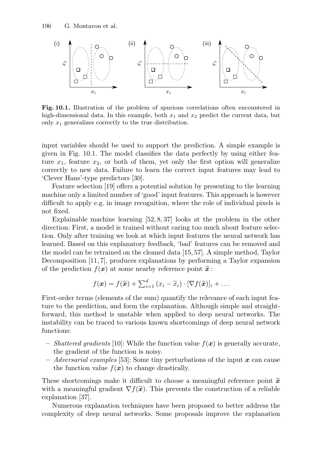

Fig. 10.1. Illustration of the problem of spurious correlations often encountered in high-dimensional data. In this example, both  $x_1$  and  $x_2$  predict the current data, but only  $x_1$  generalizes correctly to the true distribution.

input variables should be used to support the prediction. A simple example is given in Fig. 10.1. The model classifies the data perfectly by using either feature  $x_1$ , feature  $x_2$ , or both of them, yet only the first option will generalize correctly to new data. Failure to learn the correct input features may lead to 'Clever Hans'-type predictors [30].

Feature selection [19] offers a potential solution by presenting to the learning machine only a limited number of 'good' input features. This approach is however difficult to apply e.g. in image recognition, where the role of individual pixels is not fixed.

Explainable machine learning [52, 8, 37] looks at the problem in the other direction: First, a model is trained without caring too much about feature selection. Only after training we look at which input features the neural network has learned. Based on this explanatory feedback, 'bad' features can be removed and the model can be retrained on the cleaned data [15, 57]. A simple method, Taylor Decomposition [11, 7], produces explanations by performing a Taylor expansion of the prediction  $f(x)$  at some nearby reference point  $\tilde{x}$ :

$$
f(\boldsymbol{x}) = f(\widetilde{\boldsymbol{x}}) + \sum_{i=1}^d (x_i - \widetilde{x}_i) \cdot [\nabla f(\widetilde{\boldsymbol{x}})]_i + \dots
$$

First-order terms (elements of the sum) quantify the relevance of each input feature to the prediction, and form the explanation. Although simple and straightforward, this method is unstable when applied to deep neural networks. The instability can be traced to various known shortcomings of deep neural network functions:

- Shattered gradients [10]: While the function value  $f(x)$  is generally accurate, the gradient of the function is noisy.
- Adversarial examples [53]: Some tiny perturbations of the input  $\bm{x}$  can cause the function value  $f(x)$  to change drastically.

These shortcomings make it difficult to choose a meaningful reference point  $\tilde{x}$ with a meaningful gradient  $\nabla f(\tilde{x})$ . This prevents the construction of a reliable explanation [37].

Numerous explanation techniques have been proposed to better address the complexity of deep neural networks. Some proposals improve the explanation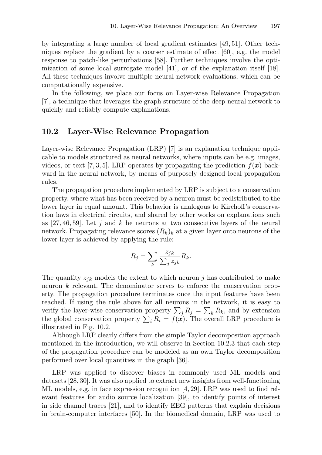by integrating a large number of local gradient estimates [49, 51]. Other techniques replace the gradient by a coarser estimate of effect [60], e.g. the model response to patch-like perturbations [58]. Further techniques involve the optimization of some local surrogate model [41], or of the explanation itself [18]. All these techniques involve multiple neural network evaluations, which can be computationally expensive.

In the following, we place our focus on Layer-wise Relevance Propagation [7], a technique that leverages the graph structure of the deep neural network to quickly and reliably compute explanations.

### 10.2 Layer-Wise Relevance Propagation

Layer-wise Relevance Propagation (LRP) [7] is an explanation technique applicable to models structured as neural networks, where inputs can be e.g. images, videos, or text [7, 3, 5]. LRP operates by propagating the prediction  $f(x)$  backward in the neural network, by means of purposely designed local propagation rules.

The propagation procedure implemented by LRP is subject to a conservation property, where what has been received by a neuron must be redistributed to the lower layer in equal amount. This behavior is analogous to Kirchoff's conservation laws in electrical circuits, and shared by other works on explanations such as [27, 46, 59]. Let j and k be neurons at two consecutive layers of the neural network. Propagating relevance scores  $(R_k)_k$  at a given layer onto neurons of the lower layer is achieved by applying the rule:

$$
R_j = \sum_k \frac{z_{jk}}{\sum_j z_{jk}} R_k.
$$

The quantity  $z_{jk}$  models the extent to which neuron j has contributed to make neuron k relevant. The denominator serves to enforce the conservation property. The propagation procedure terminates once the input features have been reached. If using the rule above for all neurons in the network, it is easy to verify the layer-wise conservation property  $\sum_j R_j = \sum_k R_k$ , and by extension the global conservation property  $\sum_i R_i = \overline{f(x)}$ . The overall LRP procedure is illustrated in Fig. 10.2.

Although LRP clearly differs from the simple Taylor decomposition approach mentioned in the introduction, we will observe in Section 10.2.3 that each step of the propagation procedure can be modeled as an own Taylor decomposition performed over local quantities in the graph [36].

LRP was applied to discover biases in commonly used ML models and datasets [28, 30]. It was also applied to extract new insights from well-functioning ML models, e.g. in face expression recognition [4, 29]. LRP was used to find relevant features for audio source localization [39], to identify points of interest in side channel traces [21], and to identify EEG patterns that explain decisions in brain-computer interfaces [50]. In the biomedical domain, LRP was used to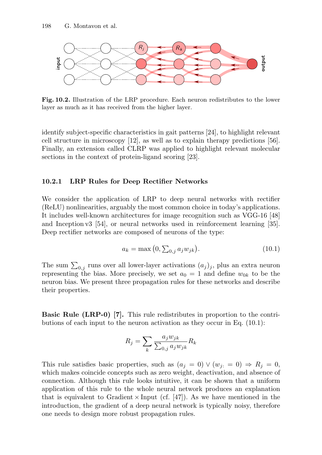

Fig. 10.2. Illustration of the LRP procedure. Each neuron redistributes to the lower layer as much as it has received from the higher layer.

identify subject-specific characteristics in gait patterns [24], to highlight relevant cell structure in microscopy [12], as well as to explain therapy predictions [56]. Finally, an extension called CLRP was applied to highlight relevant molecular sections in the context of protein-ligand scoring [23].

#### 10.2.1 LRP Rules for Deep Rectifier Networks

We consider the application of LRP to deep neural networks with rectifier (ReLU) nonlinearities, arguably the most common choice in today's applications. It includes well-known architectures for image recognition such as VGG-16 [48] and Inception v3 [54], or neural networks used in reinforcement learning [35]. Deep rectifier networks are composed of neurons of the type:

$$
a_k = \max(0, \sum_{0,j} a_j w_{jk}).
$$
\n(10.1)

The sum  $\sum_{0,j}$  runs over all lower-layer activations  $(a_j)_j$ , plus an extra neuron representing the bias. More precisely, we set  $a_0 = 1$  and define  $w_{0k}$  to be the neuron bias. We present three propagation rules for these networks and describe their properties.

Basic Rule (LRP-0) [7]. This rule redistributes in proportion to the contributions of each input to the neuron activation as they occur in Eq. (10.1):

$$
R_j = \sum_{k} \frac{a_j w_{jk}}{\sum_{0,j} a_j w_{jk}} R_k
$$

This rule satisfies basic properties, such as  $(a_j = 0) \vee (w_{j:} = 0) \Rightarrow R_j = 0$ , which makes coincide concepts such as zero weight, deactivation, and absence of connection. Although this rule looks intuitive, it can be shown that a uniform application of this rule to the whole neural network produces an explanation that is equivalent to Gradient  $\times$  Input (cf. [47]). As we have mentioned in the introduction, the gradient of a deep neural network is typically noisy, therefore one needs to design more robust propagation rules.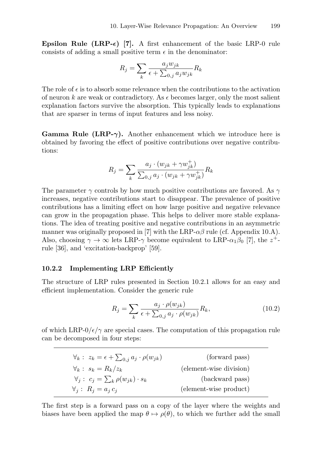Epsilon Rule (LRP- $\epsilon$ ) [7]. A first enhancement of the basic LRP-0 rule consists of adding a small positive term  $\epsilon$  in the denominator:

$$
R_j = \sum_{k} \frac{a_j w_{jk}}{\epsilon + \sum_{0,j} a_j w_{jk}} R_k
$$

The role of  $\epsilon$  is to absorb some relevance when the contributions to the activation of neuron k are weak or contradictory. As  $\epsilon$  becomes larger, only the most salient explanation factors survive the absorption. This typically leads to explanations that are sparser in terms of input features and less noisy.

**Gamma Rule (LRP-** $\gamma$ **).** Another enhancement which we introduce here is obtained by favoring the effect of positive contributions over negative contributions:

$$
R_{j} = \sum_{k} \frac{a_{j} \cdot (w_{jk} + \gamma w_{jk}^{+})}{\sum_{0,j} a_{j} \cdot (w_{jk} + \gamma w_{jk}^{+})} R_{k}
$$

The parameter  $\gamma$  controls by how much positive contributions are favored. As  $\gamma$ increases, negative contributions start to disappear. The prevalence of positive contributions has a limiting effect on how large positive and negative relevance can grow in the propagation phase. This helps to deliver more stable explanations. The idea of treating positive and negative contributions in an asymmetric manner was originally proposed in [7] with the LRP- $\alpha\beta$  rule (cf. Appendix 10.A). Also, choosing  $\gamma \to \infty$  lets LRP- $\gamma$  become equivalent to LRP- $\alpha_1 \beta_0$  [7], the  $z^+$ rule [36], and 'excitation-backprop' [59].

#### 10.2.2 Implementing LRP Efficiently

The structure of LRP rules presented in Section 10.2.1 allows for an easy and efficient implementation. Consider the generic rule

$$
R_j = \sum_k \frac{a_j \cdot \rho(w_{jk})}{\epsilon + \sum_{0,j} a_j \cdot \rho(w_{jk})} R_k,
$$
\n(10.2)

of which LRP- $0/\epsilon/\gamma$  are special cases. The computation of this propagation rule can be decomposed in four steps:

| $\forall_k: z_k = \epsilon + \sum_{0,i} a_j \cdot \rho(w_{jk})$ | (forward pass)          |
|-----------------------------------------------------------------|-------------------------|
| $\forall_k : s_k = R_k/z_k$                                     | (element-wise division) |
| $\forall_i: c_i = \sum_k \rho(w_{ik}) \cdot s_k$                | (backward pass)         |
| $\forall_i: R_i = a_i c_i$                                      | (element-wise product)  |

The first step is a forward pass on a copy of the layer where the weights and biases have been applied the map  $\theta \mapsto \rho(\theta)$ , to which we further add the small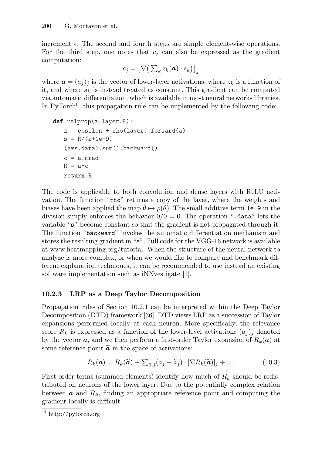increment  $\epsilon$ . The second and fourth steps are simple element-wise operations. For the third step, one notes that  $c_j$  can also be expressed as the gradient computation:

$$
c_j = \big[ \nabla \big( \sum_k z_k(\boldsymbol{a}) \cdot s_k \big) \big]_j
$$

where  $\mathbf{a} = (a_j)_j$  is the vector of lower-layer activations, where  $z_k$  is a function of it, and where  $s_k$  is instead treated as constant. This gradient can be computed via automatic differentiation, which is available in most neural networks libraries. In PyTorch<sup>6</sup>, this propagation rule can be implemented by the following code:

```
def relprop(a,layer,R):
z = epsilon + rho(layer).forward(a)
s = R/(z+1e-9)(z*s.data).sum().backward()
c = a.gradR = a*creturn R
```
The code is applicable to both convolution and dense layers with ReLU activation. The function "rho" returns a copy of the layer, where the weights and biases have been applied the map  $\theta \mapsto \rho(\theta)$ . The small additive term 1e-9 in the division simply enforces the behavior  $0/0 = 0$ . The operation ".data" lets the variable "s" become constant so that the gradient is not propagated through it. The function "backward" invokes the automatic differentiation mechanism and stores the resulting gradient in "a". Full code for the VGG-16 network is available at www.heatmapping.org/tutorial. When the structure of the neural network to analyze is more complex, or when we would like to compare and benchmark different explanation techniques, it can be recommended to use instead an existing software implementation such as iNNvestigate [1].

## 10.2.3 LRP as a Deep Taylor Decomposition

Propagation rules of Section 10.2.1 can be interpreted within the Deep Taylor Decomposition (DTD) framework [36]. DTD views LRP as a succession of Taylor expansions performed locally at each neuron. More specifically, the relevance score  $R_k$  is expressed as a function of the lower-level activations  $(a_i)_i$  denoted by the vector  $\boldsymbol{a}$ , and we then perform a first-order Taylor expansion of  $R_k(\boldsymbol{a})$  at some reference point  $\tilde{a}$  in the space of activations:

$$
R_k(\boldsymbol{a}) = R_k(\widetilde{\boldsymbol{a}}) + \sum_{0,j} (a_j - \widetilde{a}_j) \cdot [\nabla R_k(\widetilde{\boldsymbol{a}})]_j + \dots \qquad (10.3)
$$

First-order terms (summed elements) identify how much of  $R_k$  should be redistributed on neurons of the lower layer. Due to the potentially complex relation between  $\boldsymbol{a}$  and  $R_k$ , finding an appropriate reference point and computing the gradient locally is difficult.

 $\sqrt{6 \frac{6}{1}}$ http://pytorch.org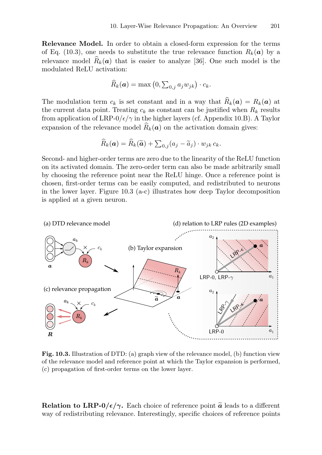Relevance Model. In order to obtain a closed-form expression for the terms of Eq. (10.3), one needs to substitute the true relevance function  $R_k(a)$  by a relevance model  $\widehat{R}_k(a)$  that is easier to analyze [36]. One such model is the modulated ReLU activation:

$$
\widehat{R}_k(\boldsymbol{a}) = \max\left(0, \sum_{0,j} a_j w_{jk}\right) \cdot c_k.
$$

The modulation term  $c_k$  is set constant and in a way that  $\widehat{R}_k(a) = R_k(a)$  at the current data point. Treating  $c_k$  as constant can be justified when  $R_k$  results from application of LRP- $0/\epsilon/\gamma$  in the higher layers (cf. Appendix 10.B). A Taylor expansion of the relevance model  $\widehat{R}_k(a)$  on the activation domain gives:

$$
\widehat{R}_k(\boldsymbol{a}) = \widehat{R}_k(\widetilde{\boldsymbol{a}}) + \sum_{0,j} (a_j - \widetilde{a}_j) \cdot w_{jk} c_k.
$$

Second- and higher-order terms are zero due to the linearity of the ReLU function on its activated domain. The zero-order term can also be made arbitrarily small by choosing the reference point near the ReLU hinge. Once a reference point is chosen, first-order terms can be easily computed, and redistributed to neurons in the lower layer. Figure 10.3 (a-c) illustrates how deep Taylor decomposition is applied at a given neuron.



Fig. 10.3. Illustration of DTD: (a) graph view of the relevance model, (b) function view of the relevance model and reference point at which the Taylor expansion is performed, (c) propagation of first-order terms on the lower layer.

**Relation to LRP-0/** $\epsilon/\gamma$ **.** Each choice of reference point  $\tilde{a}$  leads to a different way of redistributing relevance. Interestingly, specific choices of reference points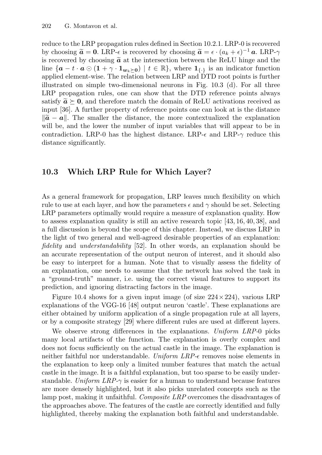reduce to the LRP propagation rules defined in Section 10.2.1. LRP-0 is recovered by choosing  $\tilde{a} = 0$ . LRP- $\epsilon$  is recovered by choosing  $\tilde{a} = \epsilon \cdot (a_k + \epsilon)^{-1} a$ . LRP- $\gamma$ is recovered by choosing  $\tilde{a}$  at the intersection between the ReLU hinge and the line  $\{a - t \cdot a \odot (1 + \gamma \cdot 1_{w_k \succ 0}) \mid t \in \mathbb{R}\},\$  where  $1_{\{\cdot\}}$  is an indicator function applied element-wise. The relation between LRP and DTD root points is further illustrated on simple two-dimensional neurons in Fig. 10.3 (d). For all three LRP propagation rules, one can show that the DTD reference points always satisfy  $\tilde{a} \succeq 0$ , and therefore match the domain of ReLU activations received as input [36]. A further property of reference points one can look at is the distance  $\|\tilde{a} - a\|$ . The smaller the distance, the more contextualized the explanation will be, and the lower the number of input variables that will appear to be in contradiction. LRP-0 has the highest distance. LRP- $\epsilon$  and LRP- $\gamma$  reduce this distance significantly.

### 10.3 Which LRP Rule for Which Layer?

As a general framework for propagation, LRP leaves much flexibility on which rule to use at each layer, and how the parameters  $\epsilon$  and  $\gamma$  should be set. Selecting LRP parameters optimally would require a measure of explanation quality. How to assess explanation quality is still an active research topic [43, 16, 40, 38], and a full discussion is beyond the scope of this chapter. Instead, we discuss LRP in the light of two general and well-agreed desirable properties of an explanation: fidelity and *understandability* [52]. In other words, an explanation should be an accurate representation of the output neuron of interest, and it should also be easy to interpret for a human. Note that to visually assess the fidelity of an explanation, one needs to assume that the network has solved the task in a "ground-truth" manner, i.e. using the correct visual features to support its prediction, and ignoring distracting factors in the image.

Figure 10.4 shows for a given input image (of size  $224 \times 224$ ), various LRP explanations of the VGG-16 [48] output neuron 'castle'. These explanations are either obtained by uniform application of a single propagation rule at all layers, or by a composite strategy [29] where different rules are used at different layers.

We observe strong differences in the explanations. Uniform LRP-0 picks many local artifacts of the function. The explanation is overly complex and does not focus sufficiently on the actual castle in the image. The explanation is neither faithful nor understandable. Uniform  $LRP-\epsilon$  removes noise elements in the explanation to keep only a limited number features that match the actual castle in the image. It is a faithful explanation, but too sparse to be easily understandable. Uniform  $LRP-\gamma$  is easier for a human to understand because features are more densely highlighted, but it also picks unrelated concepts such as the lamp post, making it unfaithful. Composite LRP overcomes the disadvantages of the approaches above. The features of the castle are correctly identified and fully highlighted, thereby making the explanation both faithful and understandable.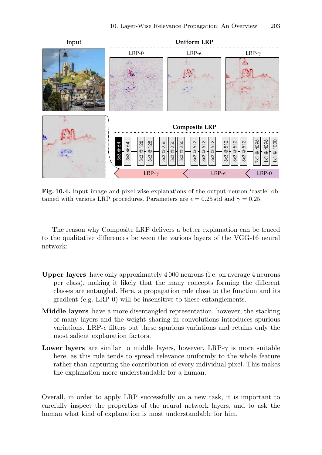

Fig. 10.4. Input image and pixel-wise explanations of the output neuron 'castle' obtained with various LRP procedures. Parameters are  $\epsilon = 0.25$  std and  $\gamma = 0.25$ .

The reason why Composite LRP delivers a better explanation can be traced to the qualitative differences between the various layers of the VGG-16 neural network:

- Upper layers have only approximately 4 000 neurons (i.e. on average 4 neurons per class), making it likely that the many concepts forming the different classes are entangled. Here, a propagation rule close to the function and its gradient (e.g. LRP-0) will be insensitive to these entanglements.
- Middle layers have a more disentangled representation, however, the stacking of many layers and the weight sharing in convolutions introduces spurious variations. LRP- $\epsilon$  filters out these spurious variations and retains only the most salient explanation factors.
- **Lower layers** are similar to middle layers, however, LRP- $\gamma$  is more suitable here, as this rule tends to spread relevance uniformly to the whole feature rather than capturing the contribution of every individual pixel. This makes the explanation more understandable for a human.

Overall, in order to apply LRP successfully on a new task, it is important to carefully inspect the properties of the neural network layers, and to ask the human what kind of explanation is most understandable for him.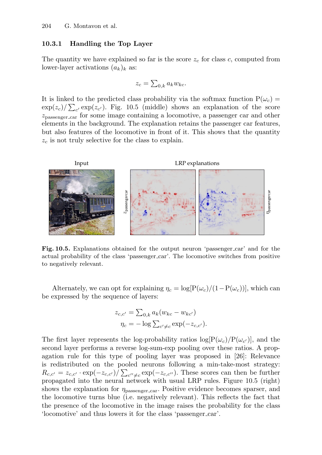#### 10.3.1 Handling the Top Layer

The quantity we have explained so far is the score  $z_c$  for class c, computed from lower-layer activations  $(a_k)_k$  as:

$$
z_c = \sum_{0,k} a_k w_{kc}.
$$

It is linked to the predicted class probability via the softmax function  $P(\omega_c)$  =  $\exp(z_c)/\sum_{c'}\exp(z_{c'})$ . Fig. 10.5 (middle) shows an explanation of the score zpassenger car for some image containing a locomotive, a passenger car and other elements in the background. The explanation retains the passenger car features, but also features of the locomotive in front of it. This shows that the quantity  $z_c$  is not truly selective for the class to explain.



Fig. 10.5. Explanations obtained for the output neuron 'passenger car' and for the actual probability of the class 'passenger car'. The locomotive switches from positive to negatively relevant.

Alternately, we can opt for explaining  $\eta_c = \log[P(\omega_c)/(1-P(\omega_c))]$ , which can be expressed by the sequence of layers:

$$
z_{c,c'} = \sum_{0,k} a_k (w_{kc} - w_{kc'})
$$
  

$$
\eta_c = -\log \sum_{c' \neq c} \exp(-z_{c,c'}).
$$

The first layer represents the log-probability ratios  $log[P(\omega_c)/P(\omega_{c'})]$ , and the second layer performs a reverse log-sum-exp pooling over these ratios. A propagation rule for this type of pooling layer was proposed in [26]: Relevance is redistributed on the pooled neurons following a min-take-most strategy:  $R_{c,c'} = z_{c,c'} \cdot \exp(-z_{c,c'}) / \sum_{c'' \neq c} \exp(-z_{c,c''})$ . These scores can then be further propagated into the neural network with usual LRP rules. Figure 10.5 (right) shows the explanation for  $\eta_{\text{passenger car}}$ . Positive evidence becomes sparser, and the locomotive turns blue (i.e. negatively relevant). This reflects the fact that the presence of the locomotive in the image raises the probability for the class 'locomotive' and thus lowers it for the class 'passenger car'.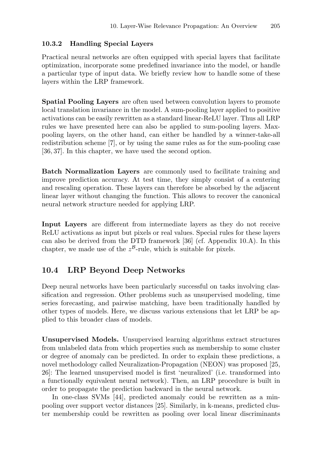### 10.3.2 Handling Special Layers

Practical neural networks are often equipped with special layers that facilitate optimization, incorporate some predefined invariance into the model, or handle a particular type of input data. We briefly review how to handle some of these layers within the LRP framework.

Spatial Pooling Layers are often used between convolution layers to promote local translation invariance in the model. A sum-pooling layer applied to positive activations can be easily rewritten as a standard linear-ReLU layer. Thus all LRP rules we have presented here can also be applied to sum-pooling layers. Maxpooling layers, on the other hand, can either be handled by a winner-take-all redistribution scheme [7], or by using the same rules as for the sum-pooling case [36, 37]. In this chapter, we have used the second option.

Batch Normalization Layers are commonly used to facilitate training and improve prediction accuracy. At test time, they simply consist of a centering and rescaling operation. These layers can therefore be absorbed by the adjacent linear layer without changing the function. This allows to recover the canonical neural network structure needed for applying LRP.

Input Layers are different from intermediate layers as they do not receive ReLU activations as input but pixels or real values. Special rules for these layers can also be derived from the DTD framework [36] (cf. Appendix 10.A). In this chapter, we made use of the  $z^{\beta}$ -rule, which is suitable for pixels.

## 10.4 LRP Beyond Deep Networks

Deep neural networks have been particularly successful on tasks involving classification and regression. Other problems such as unsupervised modeling, time series forecasting, and pairwise matching, have been traditionally handled by other types of models. Here, we discuss various extensions that let LRP be applied to this broader class of models.

Unsupervised Models. Unsupervised learning algorithms extract structures from unlabeled data from which properties such as membership to some cluster or degree of anomaly can be predicted. In order to explain these predictions, a novel methodology called Neuralization-Propagation (NEON) was proposed [25, 26]: The learned unsupervised model is first 'neuralized' (i.e. transformed into a functionally equivalent neural network). Then, an LRP procedure is built in order to propagate the prediction backward in the neural network.

In one-class SVMs [44], predicted anomaly could be rewritten as a minpooling over support vector distances [25]. Similarly, in k-means, predicted cluster membership could be rewritten as pooling over local linear discriminants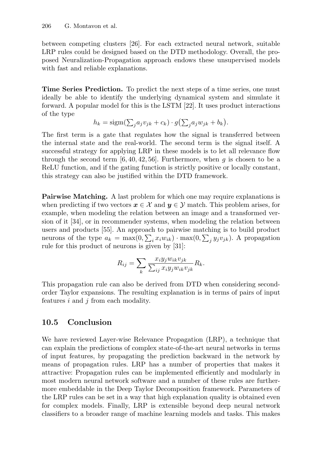between competing clusters [26]. For each extracted neural network, suitable LRP rules could be designed based on the DTD methodology. Overall, the proposed Neuralization-Propagation approach endows these unsupervised models with fast and reliable explanations.

Time Series Prediction. To predict the next steps of a time series, one must ideally be able to identify the underlying dynamical system and simulate it forward. A popular model for this is the LSTM [22]. It uses product interactions of the type

$$
h_k = \text{sigm}(\sum_j a_j v_{jk} + c_k) \cdot g(\sum_j a_j w_{jk} + b_k).
$$

The first term is a gate that regulates how the signal is transferred between the internal state and the real-world. The second term is the signal itself. A successful strategy for applying LRP in these models is to let all relevance flow through the second term [6, 40, 42, 56]. Furthermore, when q is chosen to be a ReLU function, and if the gating function is strictly positive or locally constant, this strategy can also be justified within the DTD framework.

Pairwise Matching. A last problem for which one may require explanations is when predicting if two vectors  $x \in \mathcal{X}$  and  $y \in \mathcal{Y}$  match. This problem arises, for example, when modeling the relation between an image and a transformed version of it [34], or in recommender systems, when modeling the relation between users and products [55]. An approach to pairwise matching is to build product neurons of the type  $a_k = \max(0, \sum_i x_i w_{ik}) \cdot \max(0, \sum_j y_j v_{jk})$ . A propagation rule for this product of neurons is given by [31]:

$$
R_{ij} = \sum_{k} \frac{x_i y_j w_{ik} v_{jk}}{\sum_{ij} x_i y_j w_{ik} v_{jk}} R_k.
$$

This propagation rule can also be derived from DTD when considering secondorder Taylor expansions. The resulting explanation is in terms of pairs of input features  $i$  and  $j$  from each modality.

# 10.5 Conclusion

We have reviewed Layer-wise Relevance Propagation (LRP), a technique that can explain the predictions of complex state-of-the-art neural networks in terms of input features, by propagating the prediction backward in the network by means of propagation rules. LRP has a number of properties that makes it attractive: Propagation rules can be implemented efficiently and modularly in most modern neural network software and a number of these rules are furthermore embeddable in the Deep Taylor Decomposition framework. Parameters of the LRP rules can be set in a way that high explanation quality is obtained even for complex models. Finally, LRP is extensible beyond deep neural network classifiers to a broader range of machine learning models and tasks. This makes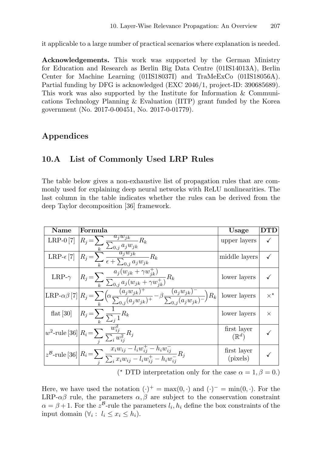it applicable to a large number of practical scenarios where explanation is needed.

Acknowledgements. This work was supported by the German Ministry for Education and Research as Berlin Big Data Centre (01IS14013A), Berlin Center for Machine Learning (01IS18037I) and TraMeExCo (01IS18056A). Partial funding by DFG is acknowledged (EXC 2046/1, project-ID: 390685689). This work was also supported by the Institute for Information & Communications Technology Planning & Evaluation (IITP) grant funded by the Korea government (No. 2017-0-00451, No. 2017-0-01779).

# Appendices

## 10.A List of Commonly Used LRP Rules

The table below gives a non-exhaustive list of propagation rules that are commonly used for explaining deep neural networks with ReLU nonlinearities. The last column in the table indicates whether the rules can be derived from the deep Taylor decomposition [36] framework.

| Name                | Formula                                                                                                                                                                                                         | Usage                           | DTD              |
|---------------------|-----------------------------------------------------------------------------------------------------------------------------------------------------------------------------------------------------------------|---------------------------------|------------------|
| LRP- $0[7]$         | $\bigg R_j = \sum_k \frac{a_j w_{jk}}{\sum_{0,j} a_j w_{jk}} R_k \label{eq:R}$                                                                                                                                  | upper layers                    |                  |
| LRP- $\epsilon$ [7] | $R_j = \sum_{k}^{\kappa} \frac{a_j w_{jk}}{\epsilon + \sum_{0,j} a_j w_{jk}} R_k$                                                                                                                               | middle layers                   |                  |
| LRP- $\gamma$       | $\left R_j = \sum_k \frac{a_j (w_{jk} + \gamma w_{jk}^+) }{\sum_{0,j} a_j (w_{jk} + \gamma w_{jk}^+) } R_k \right $                                                                                             | lower layers                    |                  |
|                     | $\boxed{\text{LRP-}\alpha\beta\,[7]\bigg R_j\!=\!\sum_k\!\Big(\!\alpha\frac{(a_jw_{jk})^+}{\sum_{0,j}(a_jw_{jk})^+}\!-\!\beta\frac{(a_jw_{jk})^-}{\sum_{0,j}(a_jw_{jk})^-}\Big)R_k}\bigg \text{ lower layers}}$ |                                 | $\times^{\star}$ |
|                     | flat [30] $R_j = \sum_k \frac{1}{\sum_i 1} R_k$                                                                                                                                                                 | lower layers                    | $\times$         |
|                     | $w^2\text{-rule [36]{.1cm}[36]{.1cm}36] \boxed{R_i = \sum_j \frac{w_{ij}^2}{\sum_i w_{ij}^2} R_j}$                                                                                                              | first layer<br>$(\mathbb{R}^d)$ |                  |
|                     | $z^{\mathcal{B}}\text{-rule [36]} \Big  R_i \!=\! \sum_i \frac{x_i w_{ij} - \overline{l_i w_{ij}^+ - h_i w_{ij}^-}}{\sum_i x_i w_{ij} - l_i w_{ij}^+ - h_i w_{ij}^-} R_j$                                       | first layer<br>(pixels)         |                  |

(\* DTD interpretation only for the case  $\alpha = 1, \beta = 0$ .)

Here, we have used the notation  $(\cdot)^+ = \max(0, \cdot)$  and  $(\cdot)^- = \min(0, \cdot)$ . For the LRP- $\alpha\beta$  rule, the parameters  $\alpha, \beta$  are subject to the conservation constraint  $\alpha = \beta + 1$ . For the  $z^{\beta}$ -rule the parameters  $l_i, h_i$  define the box constraints of the input domain  $(\forall i : l_i \leq x_i \leq h_i)$ .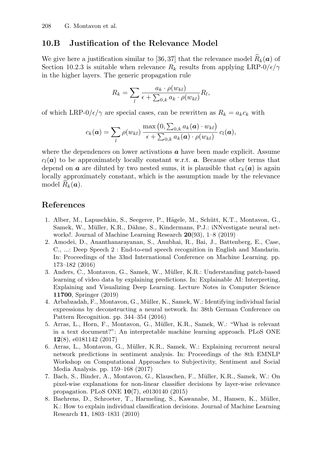## 10.B Justification of the Relevance Model

We give here a justification similar to [36, 37] that the relevance model  $\widehat{R}_k(a)$  of Section 10.2.3 is suitable when relevance  $R_k$  results from applying LRP-0/ $\epsilon/\gamma$ in the higher layers. The generic propagation rule

$$
R_k = \sum_{l} \frac{a_k \cdot \rho(w_{kl})}{\epsilon + \sum_{0,k} a_k \cdot \rho(w_{kl})} R_l,
$$

of which LRP- $0/\epsilon/\gamma$  are special cases, can be rewritten as  $R_k = a_k c_k$  with

$$
c_k(\boldsymbol{a}) = \sum_l \rho(w_{kl}) \frac{\max\left(0, \sum_{0,k} a_k(\boldsymbol{a}) \cdot w_{kl}\right)}{\epsilon + \sum_{0,k} a_k(\boldsymbol{a}) \cdot \rho(w_{kl})} c_l(\boldsymbol{a}),
$$

where the dependences on lower activations  $\boldsymbol{a}$  have been made explicit. Assume  $c_l(a)$  to be approximately locally constant w.r.t. a. Because other terms that depend on **a** are diluted by two nested sums, it is plausible that  $c_k(a)$  is again locally approximately constant, which is the assumption made by the relevance model  $R_k(a)$ .

### References

- 1. Alber, M., Lapuschkin, S., Seegerer, P., Hägele, M., Schütt, K.T., Montavon, G., Samek, W., Müller, K.R., Dähne, S., Kindermans, P.J.: iNNvestigate neural networks!. Journal of Machine Learning Research 20(93), 1–8 (2019)
- 2. Amodei, D., Ananthanarayanan, S., Anubhai, R., Bai, J., Battenberg, E., Case, C., ...: Deep Speech 2 : End-to-end speech recognition in English and Mandarin. In: Proceedings of the 33nd International Conference on Machine Learning. pp. 173–182 (2016)
- 3. Anders, C., Montavon, G., Samek, W., M¨uller, K.R.: Understanding patch-based learning of video data by explaining predictions. In: Explainable AI: Interpreting, Explaining and Visualizing Deep Learning. Lecture Notes in Computer Science 11700, Springer (2019)
- 4. Arbabzadah, F., Montavon, G., Müller, K., Samek, W.: Identifying individual facial expressions by deconstructing a neural network. In: 38th German Conference on Pattern Recognition. pp. 344–354 (2016)
- 5. Arras, L., Horn, F., Montavon, G., Müller, K.R., Samek, W.: "What is relevant in a text document?": An interpretable machine learning approach. PLoS ONE 12(8), e0181142 (2017)
- 6. Arras, L., Montavon, G., Müller, K.R., Samek, W.: Explaining recurrent neural network predictions in sentiment analysis. In: Proceedings of the 8th EMNLP Workshop on Computational Approaches to Subjectivity, Sentiment and Social Media Analysis. pp. 159–168 (2017)
- 7. Bach, S., Binder, A., Montavon, G., Klauschen, F., M¨uller, K.R., Samek, W.: On pixel-wise explanations for non-linear classifier decisions by layer-wise relevance propagation. PLoS ONE 10(7), e0130140 (2015)
- 8. Baehrens, D., Schroeter, T., Harmeling, S., Kawanabe, M., Hansen, K., Müller, K.: How to explain individual classification decisions. Journal of Machine Learning Research 11, 1803–1831 (2010)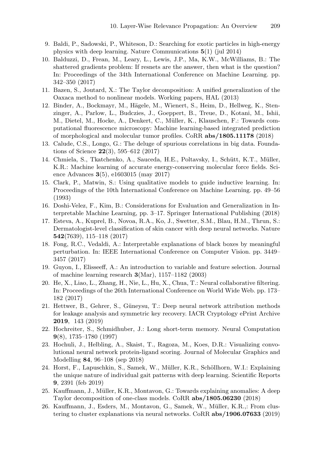- 9. Baldi, P., Sadowski, P., Whiteson, D.: Searching for exotic particles in high-energy physics with deep learning. Nature Communications 5(1) (jul 2014)
- 10. Balduzzi, D., Frean, M., Leary, L., Lewis, J.P., Ma, K.W., McWilliams, B.: The shattered gradients problem: If resnets are the answer, then what is the question? In: Proceedings of the 34th International Conference on Machine Learning. pp. 342–350 (2017)
- 11. Bazen, S., Joutard, X.: The Taylor decomposition: A unified generalization of the Oaxaca method to nonlinear models. Working papers, HAL (2013)
- 12. Binder, A., Bockmayr, M., Hägele, M., Wienert, S., Heim, D., Hellweg, K., Stenzinger, A., Parlow, L., Budczies, J., Goeppert, B., Treue, D., Kotani, M., Ishii, M., Dietel, M., Hocke, A., Denkert, C., Müller, K., Klauschen, F.: Towards computational fluorescence microscopy: Machine learning-based integrated prediction of morphological and molecular tumor profiles. CoRR abs/1805.11178 (2018)
- 13. Calude, C.S., Longo, G.: The deluge of spurious correlations in big data. Foundations of Science 22(3), 595–612 (2017)
- 14. Chmiela, S., Tkatchenko, A., Sauceda, H.E., Poltavsky, I., Schütt, K.T., Müller, K.R.: Machine learning of accurate energy-conserving molecular force fields. Science Advances 3(5), e1603015 (may 2017)
- 15. Clark, P., Matwin, S.: Using qualitative models to guide inductive learning. In: Proceedings of the 10th International Conference on Machine Learning. pp. 49–56 (1993)
- 16. Doshi-Velez, F., Kim, B.: Considerations for Evaluation and Generalization in Interpretable Machine Learning, pp. 3–17. Springer International Publishing (2018)
- 17. Esteva, A., Kuprel, B., Novoa, R.A., Ko, J., Swetter, S.M., Blau, H.M., Thrun, S.: Dermatologist-level classification of skin cancer with deep neural networks. Nature 542(7639), 115–118 (2017)
- 18. Fong, R.C., Vedaldi, A.: Interpretable explanations of black boxes by meaningful perturbation. In: IEEE International Conference on Computer Vision. pp. 3449– 3457 (2017)
- 19. Guyon, I., Elisseeff, A.: An introduction to variable and feature selection. Journal of machine learning research 3(Mar), 1157–1182 (2003)
- 20. He, X., Liao, L., Zhang, H., Nie, L., Hu, X., Chua, T.: Neural collaborative filtering. In: Proceedings of the 26th International Conference on World Wide Web. pp. 173– 182 (2017)
- 21. Hettwer, B., Gehrer, S., G¨uneysu, T.: Deep neural network attribution methods for leakage analysis and symmetric key recovery. IACR Cryptology ePrint Archive 2019, 143 (2019)
- 22. Hochreiter, S., Schmidhuber, J.: Long short-term memory. Neural Computation 9(8), 1735–1780 (1997)
- 23. Hochuli, J., Helbling, A., Skaist, T., Ragoza, M., Koes, D.R.: Visualizing convolutional neural network protein-ligand scoring. Journal of Molecular Graphics and Modelling 84, 96–108 (sep 2018)
- 24. Horst, F., Lapuschkin, S., Samek, W., Müller, K.R., Schöllhorn, W.I.: Explaining the unique nature of individual gait patterns with deep learning. Scientific Reports 9, 2391 (feb 2019)
- 25. Kauffmann, J., Müller, K.R., Montavon, G.: Towards explaining anomalies: A deep Taylor decomposition of one-class models. CoRR abs/1805.06230 (2018)
- 26. Kauffmann, J., Esders, M., Montavon, G., Samek, W., M¨uller, K.R.,: From clustering to cluster explanations via neural networks. CoRR abs/1906.07633 (2019)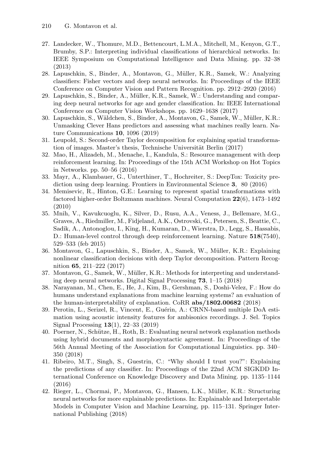- 27. Landecker, W., Thomure, M.D., Bettencourt, L.M.A., Mitchell, M., Kenyon, G.T., Brumby, S.P.: Interpreting individual classifications of hierarchical networks. In: IEEE Symposium on Computational Intelligence and Data Mining. pp. 32–38 (2013)
- 28. Lapuschkin, S., Binder, A., Montavon, G., M¨uller, K.R., Samek, W.: Analyzing classifiers: Fisher vectors and deep neural networks. In: Proceedings of the IEEE Conference on Computer Vision and Pattern Recognition. pp. 2912–2920 (2016)
- 29. Lapuschkin, S., Binder, A., Müller, K.R., Samek, W.: Understanding and comparing deep neural networks for age and gender classification. In: IEEE International Conference on Computer Vision Workshops. pp. 1629–1638 (2017)
- 30. Lapuschkin, S., Wäldchen, S., Binder, A., Montavon, G., Samek, W., Müller, K.R.: Unmasking Clever Hans predictors and assessing what machines really learn. Nature Communications 10, 1096 (2019)
- 31. Leupold, S.: Second-order Taylor decomposition for explaining spatial transformation of images. Master's thesis, Technische Universität Berlin (2017)
- 32. Mao, H., Alizadeh, M., Menache, I., Kandula, S.: Resource management with deep reinforcement learning. In: Proceedings of the 15th ACM Workshop on Hot Topics in Networks. pp. 50–56 (2016)
- 33. Mayr, A., Klambauer, G., Unterthiner, T., Hochreiter, S.: DeepTox: Toxicity prediction using deep learning. Frontiers in Environmental Science 3, 80 (2016)
- 34. Memisevic, R., Hinton, G.E.: Learning to represent spatial transformations with factored higher-order Boltzmann machines. Neural Computation 22(6), 1473–1492 (2010)
- 35. Mnih, V., Kavukcuoglu, K., Silver, D., Rusu, A.A., Veness, J., Bellemare, M.G., Graves, A., Riedmiller, M., Fidjeland, A.K., Ostrovski, G., Petersen, S., Beattie, C., Sadik, A., Antonoglou, I., King, H., Kumaran, D., Wierstra, D., Legg, S., Hassabis, D.: Human-level control through deep reinforcement learning. Nature 518(7540), 529–533 (feb 2015)
- 36. Montavon, G., Lapuschkin, S., Binder, A., Samek, W., M¨uller, K.R.: Explaining nonlinear classification decisions with deep Taylor decomposition. Pattern Recognition 65, 211–222 (2017)
- 37. Montavon, G., Samek, W., Müller, K.R.: Methods for interpreting and understanding deep neural networks. Digital Signal Processing 73, 1–15 (2018)
- 38. Narayanan, M., Chen, E., He, J., Kim, B., Gershman, S., Doshi-Velez, F.: How do humans understand explanations from machine learning systems? an evaluation of the human-interpretability of explanation. CoRR abs/1802.00682 (2018)
- 39. Perotin, L., Serizel, R., Vincent, E., Guérin, A.: CRNN-based multiple DoA estimation using acoustic intensity features for ambisonics recordings. J. Sel. Topics Signal Processing 13(1), 22–33 (2019)
- 40. Poerner, N., Schütze, H., Roth, B.: Evaluating neural network explanation methods using hybrid documents and morphosyntactic agreement. In: Proceedings of the 56th Annual Meeting of the Association for Computational Linguistics. pp. 340– 350 (2018)
- 41. Ribeiro, M.T., Singh, S., Guestrin, C.: "Why should I trust you?": Explaining the predictions of any classifier. In: Proceedings of the 22nd ACM SIGKDD International Conference on Knowledge Discovery and Data Mining. pp. 1135–1144 (2016)
- 42. Rieger, L., Chormai, P., Montavon, G., Hansen, L.K., Müller, K.R.: Structuring neural networks for more explainable predictions. In: Explainable and Interpretable Models in Computer Vision and Machine Learning, pp. 115–131. Springer International Publishing (2018)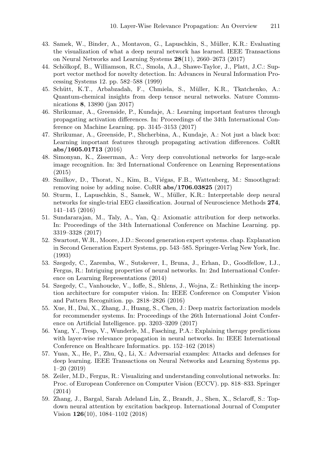- 43. Samek, W., Binder, A., Montavon, G., Lapuschkin, S., M¨uller, K.R.: Evaluating the visualization of what a deep neural network has learned. IEEE Transactions on Neural Networks and Learning Systems 28(11), 2660–2673 (2017)
- 44. Schölkopf, B., Williamson, R.C., Smola, A.J., Shawe-Taylor, J., Platt, J.C.: Support vector method for novelty detection. In: Advances in Neural Information Processing Systems 12. pp. 582–588 (1999)
- 45. Schütt, K.T., Arbabzadah, F., Chmiela, S., Müller, K.R., Tkatchenko, A.: Quantum-chemical insights from deep tensor neural networks. Nature Communications 8, 13890 (jan 2017)
- 46. Shrikumar, A., Greenside, P., Kundaje, A.: Learning important features through propagating activation differences. In: Proceedings of the 34th International Conference on Machine Learning. pp. 3145–3153 (2017)
- 47. Shrikumar, A., Greenside, P., Shcherbina, A., Kundaje, A.: Not just a black box: Learning important features through propagating activation differences. CoRR abs/1605.01713 (2016)
- 48. Simonyan, K., Zisserman, A.: Very deep convolutional networks for large-scale image recognition. In: 3rd International Conference on Learning Representations (2015)
- 49. Smilkov, D., Thorat, N., Kim, B., Viégas, F.B., Wattenberg, M.: Smoothgrad: removing noise by adding noise. CoRR abs/1706.03825 (2017)
- 50. Sturm, I., Lapuschkin, S., Samek, W., M¨uller, K.R.: Interpretable deep neural networks for single-trial EEG classification. Journal of Neuroscience Methods 274, 141–145 (2016)
- 51. Sundararajan, M., Taly, A., Yan, Q.: Axiomatic attribution for deep networks. In: Proceedings of the 34th International Conference on Machine Learning. pp. 3319–3328 (2017)
- 52. Swartout, W.R., Moore, J.D.: Second generation expert systems. chap. Explanation in Second Generation Expert Systems, pp. 543–585. Springer-Verlag New York, Inc. (1993)
- 53. Szegedy, C., Zaremba, W., Sutskever, I., Bruna, J., Erhan, D., Goodfellow, I.J., Fergus, R.: Intriguing properties of neural networks. In: 2nd International Conference on Learning Representations (2014)
- 54. Szegedy, C., Vanhoucke, V., Ioffe, S., Shlens, J., Wojna, Z.: Rethinking the inception architecture for computer vision. In: IEEE Conference on Computer Vision and Pattern Recognition. pp. 2818–2826 (2016)
- 55. Xue, H., Dai, X., Zhang, J., Huang, S., Chen, J.: Deep matrix factorization models for recommender systems. In: Proceedings of the 26th International Joint Conference on Artificial Intelligence. pp. 3203–3209 (2017)
- 56. Yang, Y., Tresp, V., Wunderle, M., Fasching, P.A.: Explaining therapy predictions with layer-wise relevance propagation in neural networks. In: IEEE International Conference on Healthcare Informatics. pp. 152–162 (2018)
- 57. Yuan, X., He, P., Zhu, Q., Li, X.: Adversarial examples: Attacks and defenses for deep learning. IEEE Transactions on Neural Networks and Learning Systems pp. 1–20 (2019)
- 58. Zeiler, M.D., Fergus, R.: Visualizing and understanding convolutional networks. In: Proc. of European Conference on Computer Vision (ECCV). pp. 818–833. Springer (2014)
- 59. Zhang, J., Bargal, Sarah Adeland Lin, Z., Brandt, J., Shen, X., Sclaroff, S.: Topdown neural attention by excitation backprop. International Journal of Computer Vision 126(10), 1084–1102 (2018)